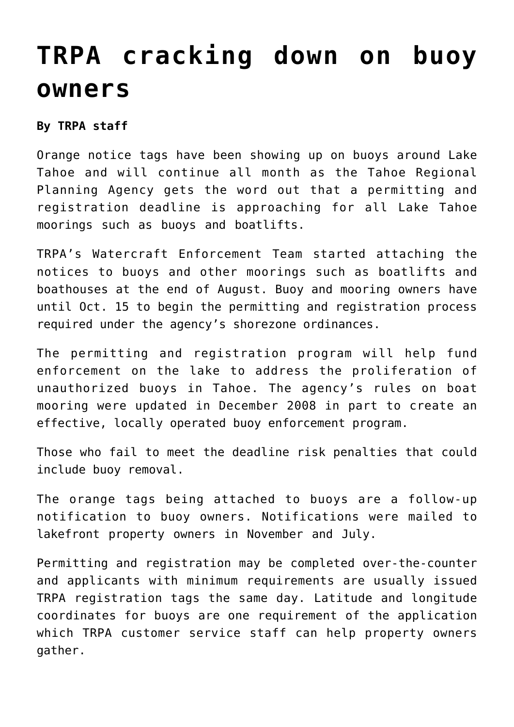## **[TRPA cracking down on buoy](https://www.laketahoenews.net/2009/09/trpa-cracking-down-on-buoy-owners/) [owners](https://www.laketahoenews.net/2009/09/trpa-cracking-down-on-buoy-owners/)**

## **By TRPA staff**

Orange notice tags have been showing up on buoys around Lake Tahoe and will continue all month as the Tahoe Regional Planning Agency gets the word out that a permitting and registration deadline is approaching for all Lake Tahoe moorings such as buoys and boatlifts.

TRPA's Watercraft Enforcement Team started attaching the notices to buoys and other moorings such as boatlifts and boathouses at the end of August. Buoy and mooring owners have until Oct. 15 to begin the permitting and registration process required under the agency's shorezone ordinances.

The permitting and registration program will help fund enforcement on the lake to address the proliferation of unauthorized buoys in Tahoe. The agency's rules on boat mooring were updated in December 2008 in part to create an effective, locally operated buoy enforcement program.

Those who fail to meet the deadline risk penalties that could include buoy removal.

The orange tags being attached to buoys are a follow-up notification to buoy owners. Notifications were mailed to lakefront property owners in November and July.

Permitting and registration may be completed over-the-counter and applicants with minimum requirements are usually issued TRPA registration tags the same day. Latitude and longitude coordinates for buoys are one requirement of the application which TRPA customer service staff can help property owners gather.